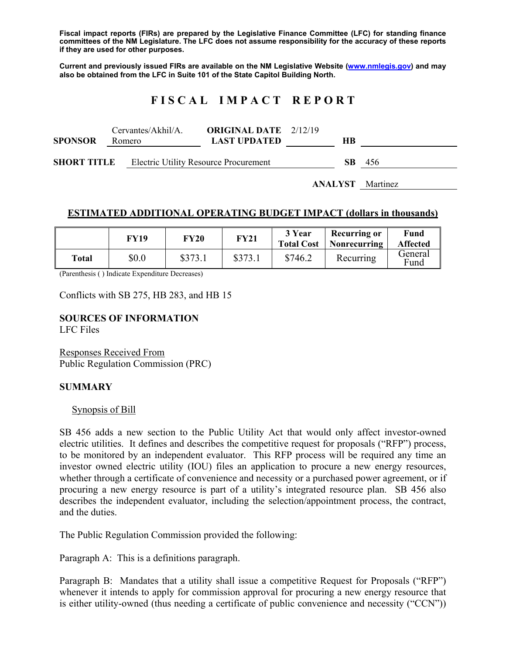**Fiscal impact reports (FIRs) are prepared by the Legislative Finance Committee (LFC) for standing finance committees of the NM Legislature. The LFC does not assume responsibility for the accuracy of these reports if they are used for other purposes.** 

**Current and previously issued FIRs are available on the NM Legislative Website (www.nmlegis.gov) and may also be obtained from the LFC in Suite 101 of the State Capitol Building North.** 

# **F I S C A L I M P A C T R E P O R T**

| <b>SPONSOR</b>     | Cervantes/Akhil/A.<br>Romero |  | <b>ORIGINAL DATE</b> 2/12/19<br><b>LAST UPDATED</b> | HВ  |       |
|--------------------|------------------------------|--|-----------------------------------------------------|-----|-------|
| <b>SHORT TITLE</b> |                              |  | <b>Electric Utility Resource Procurement</b>        | SB. | - 456 |

**ANALYST** Martinez

### **ESTIMATED ADDITIONAL OPERATING BUDGET IMPACT (dollars in thousands)**

|       | FY19  | FY20    | <b>FY21</b> | 3 Year<br><b>Total Cost</b> | <b>Recurring or</b><br>Nonrecurring | Fund<br><b>Affected</b> |
|-------|-------|---------|-------------|-----------------------------|-------------------------------------|-------------------------|
| Total | \$0.0 | \$373.1 | \$373.1     | \$746.2                     | Recurring                           | General<br>Fund         |

(Parenthesis ( ) Indicate Expenditure Decreases)

Conflicts with SB 275, HB 283, and HB 15

# **SOURCES OF INFORMATION**

LFC Files

Responses Received From Public Regulation Commission (PRC)

#### **SUMMARY**

#### Synopsis of Bill

SB 456 adds a new section to the Public Utility Act that would only affect investor-owned electric utilities. It defines and describes the competitive request for proposals ("RFP") process, to be monitored by an independent evaluator. This RFP process will be required any time an investor owned electric utility (IOU) files an application to procure a new energy resources, whether through a certificate of convenience and necessity or a purchased power agreement, or if procuring a new energy resource is part of a utility's integrated resource plan. SB 456 also describes the independent evaluator, including the selection/appointment process, the contract, and the duties.

The Public Regulation Commission provided the following:

Paragraph A: This is a definitions paragraph.

Paragraph B: Mandates that a utility shall issue a competitive Request for Proposals ("RFP") whenever it intends to apply for commission approval for procuring a new energy resource that is either utility-owned (thus needing a certificate of public convenience and necessity ("CCN"))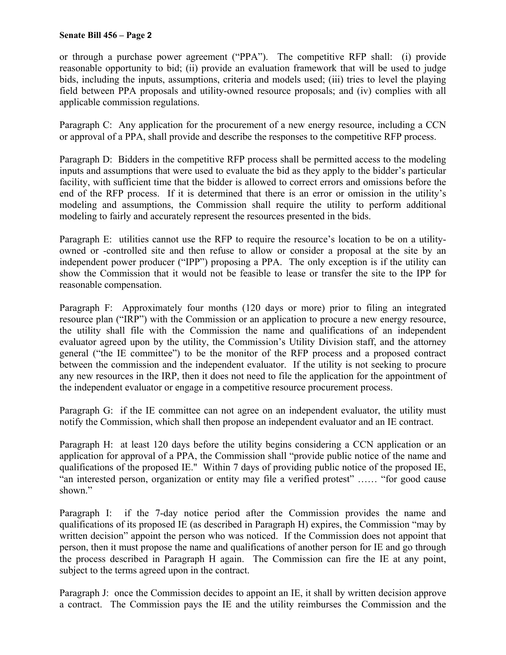#### **Senate Bill 456 – Page 2**

or through a purchase power agreement ("PPA"). The competitive RFP shall: (i) provide reasonable opportunity to bid; (ii) provide an evaluation framework that will be used to judge bids, including the inputs, assumptions, criteria and models used; (iii) tries to level the playing field between PPA proposals and utility-owned resource proposals; and (iv) complies with all applicable commission regulations.

Paragraph C: Any application for the procurement of a new energy resource, including a CCN or approval of a PPA, shall provide and describe the responses to the competitive RFP process.

Paragraph D: Bidders in the competitive RFP process shall be permitted access to the modeling inputs and assumptions that were used to evaluate the bid as they apply to the bidder's particular facility, with sufficient time that the bidder is allowed to correct errors and omissions before the end of the RFP process. If it is determined that there is an error or omission in the utility's modeling and assumptions, the Commission shall require the utility to perform additional modeling to fairly and accurately represent the resources presented in the bids.

Paragraph E: utilities cannot use the RFP to require the resource's location to be on a utilityowned or -controlled site and then refuse to allow or consider a proposal at the site by an independent power producer ("IPP") proposing a PPA. The only exception is if the utility can show the Commission that it would not be feasible to lease or transfer the site to the IPP for reasonable compensation.

Paragraph F: Approximately four months (120 days or more) prior to filing an integrated resource plan ("IRP") with the Commission or an application to procure a new energy resource, the utility shall file with the Commission the name and qualifications of an independent evaluator agreed upon by the utility, the Commission's Utility Division staff, and the attorney general ("the IE committee") to be the monitor of the RFP process and a proposed contract between the commission and the independent evaluator. If the utility is not seeking to procure any new resources in the IRP, then it does not need to file the application for the appointment of the independent evaluator or engage in a competitive resource procurement process.

Paragraph G: if the IE committee can not agree on an independent evaluator, the utility must notify the Commission, which shall then propose an independent evaluator and an IE contract.

Paragraph H: at least 120 days before the utility begins considering a CCN application or an application for approval of a PPA, the Commission shall "provide public notice of the name and qualifications of the proposed IE." Within 7 days of providing public notice of the proposed IE, "an interested person, organization or entity may file a verified protest" …… "for good cause shown."

Paragraph I: if the 7-day notice period after the Commission provides the name and qualifications of its proposed IE (as described in Paragraph H) expires, the Commission "may by written decision" appoint the person who was noticed. If the Commission does not appoint that person, then it must propose the name and qualifications of another person for IE and go through the process described in Paragraph H again. The Commission can fire the IE at any point, subject to the terms agreed upon in the contract.

Paragraph J: once the Commission decides to appoint an IE, it shall by written decision approve a contract. The Commission pays the IE and the utility reimburses the Commission and the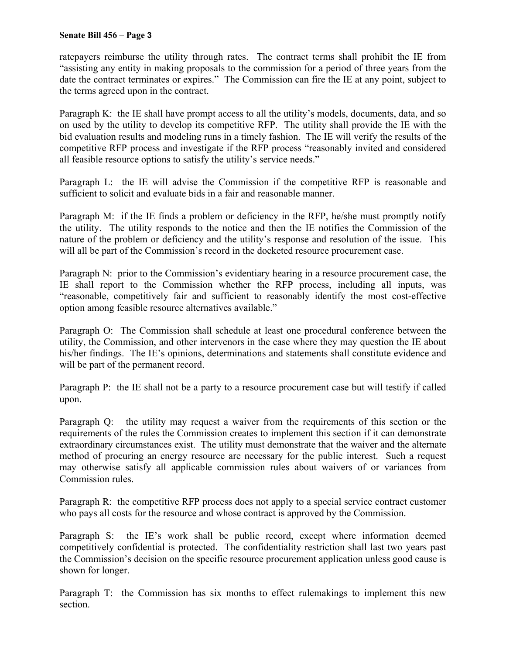#### **Senate Bill 456 – Page 3**

ratepayers reimburse the utility through rates. The contract terms shall prohibit the IE from "assisting any entity in making proposals to the commission for a period of three years from the date the contract terminates or expires." The Commission can fire the IE at any point, subject to the terms agreed upon in the contract.

Paragraph K: the IE shall have prompt access to all the utility's models, documents, data, and so on used by the utility to develop its competitive RFP. The utility shall provide the IE with the bid evaluation results and modeling runs in a timely fashion. The IE will verify the results of the competitive RFP process and investigate if the RFP process "reasonably invited and considered all feasible resource options to satisfy the utility's service needs."

Paragraph L: the IE will advise the Commission if the competitive RFP is reasonable and sufficient to solicit and evaluate bids in a fair and reasonable manner.

Paragraph M: if the IE finds a problem or deficiency in the RFP, he/she must promptly notify the utility. The utility responds to the notice and then the IE notifies the Commission of the nature of the problem or deficiency and the utility's response and resolution of the issue. This will all be part of the Commission's record in the docketed resource procurement case.

Paragraph N: prior to the Commission's evidentiary hearing in a resource procurement case, the IE shall report to the Commission whether the RFP process, including all inputs, was "reasonable, competitively fair and sufficient to reasonably identify the most cost-effective option among feasible resource alternatives available."

Paragraph O: The Commission shall schedule at least one procedural conference between the utility, the Commission, and other intervenors in the case where they may question the IE about his/her findings. The IE's opinions, determinations and statements shall constitute evidence and will be part of the permanent record.

Paragraph P: the IE shall not be a party to a resource procurement case but will testify if called upon.

Paragraph Q: the utility may request a waiver from the requirements of this section or the requirements of the rules the Commission creates to implement this section if it can demonstrate extraordinary circumstances exist. The utility must demonstrate that the waiver and the alternate method of procuring an energy resource are necessary for the public interest. Such a request may otherwise satisfy all applicable commission rules about waivers of or variances from Commission rules.

Paragraph R: the competitive RFP process does not apply to a special service contract customer who pays all costs for the resource and whose contract is approved by the Commission.

Paragraph S: the IE's work shall be public record, except where information deemed competitively confidential is protected. The confidentiality restriction shall last two years past the Commission's decision on the specific resource procurement application unless good cause is shown for longer.

Paragraph T: the Commission has six months to effect rulemakings to implement this new section.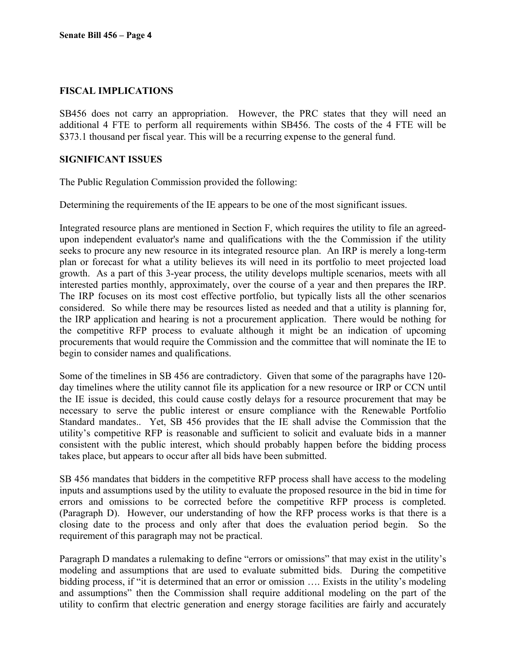# **FISCAL IMPLICATIONS**

SB456 does not carry an appropriation. However, the PRC states that they will need an additional 4 FTE to perform all requirements within SB456. The costs of the 4 FTE will be \$373.1 thousand per fiscal year. This will be a recurring expense to the general fund.

### **SIGNIFICANT ISSUES**

The Public Regulation Commission provided the following:

Determining the requirements of the IE appears to be one of the most significant issues.

Integrated resource plans are mentioned in Section F, which requires the utility to file an agreedupon independent evaluator's name and qualifications with the the Commission if the utility seeks to procure any new resource in its integrated resource plan. An IRP is merely a long-term plan or forecast for what a utility believes its will need in its portfolio to meet projected load growth. As a part of this 3-year process, the utility develops multiple scenarios, meets with all interested parties monthly, approximately, over the course of a year and then prepares the IRP. The IRP focuses on its most cost effective portfolio, but typically lists all the other scenarios considered. So while there may be resources listed as needed and that a utility is planning for, the IRP application and hearing is not a procurement application. There would be nothing for the competitive RFP process to evaluate although it might be an indication of upcoming procurements that would require the Commission and the committee that will nominate the IE to begin to consider names and qualifications.

Some of the timelines in SB 456 are contradictory. Given that some of the paragraphs have 120 day timelines where the utility cannot file its application for a new resource or IRP or CCN until the IE issue is decided, this could cause costly delays for a resource procurement that may be necessary to serve the public interest or ensure compliance with the Renewable Portfolio Standard mandates.. Yet, SB 456 provides that the IE shall advise the Commission that the utility's competitive RFP is reasonable and sufficient to solicit and evaluate bids in a manner consistent with the public interest, which should probably happen before the bidding process takes place, but appears to occur after all bids have been submitted.

SB 456 mandates that bidders in the competitive RFP process shall have access to the modeling inputs and assumptions used by the utility to evaluate the proposed resource in the bid in time for errors and omissions to be corrected before the competitive RFP process is completed. (Paragraph D). However, our understanding of how the RFP process works is that there is a closing date to the process and only after that does the evaluation period begin. So the requirement of this paragraph may not be practical.

Paragraph D mandates a rulemaking to define "errors or omissions" that may exist in the utility's modeling and assumptions that are used to evaluate submitted bids. During the competitive bidding process, if "it is determined that an error or omission …. Exists in the utility's modeling and assumptions" then the Commission shall require additional modeling on the part of the utility to confirm that electric generation and energy storage facilities are fairly and accurately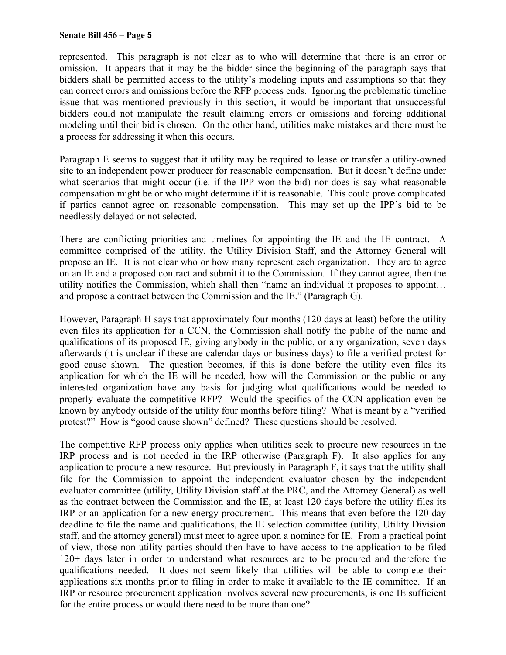#### **Senate Bill 456 – Page 5**

represented. This paragraph is not clear as to who will determine that there is an error or omission. It appears that it may be the bidder since the beginning of the paragraph says that bidders shall be permitted access to the utility's modeling inputs and assumptions so that they can correct errors and omissions before the RFP process ends. Ignoring the problematic timeline issue that was mentioned previously in this section, it would be important that unsuccessful bidders could not manipulate the result claiming errors or omissions and forcing additional modeling until their bid is chosen. On the other hand, utilities make mistakes and there must be a process for addressing it when this occurs.

Paragraph E seems to suggest that it utility may be required to lease or transfer a utility-owned site to an independent power producer for reasonable compensation. But it doesn't define under what scenarios that might occur (i.e. if the IPP won the bid) nor does is say what reasonable compensation might be or who might determine if it is reasonable. This could prove complicated if parties cannot agree on reasonable compensation. This may set up the IPP's bid to be needlessly delayed or not selected.

There are conflicting priorities and timelines for appointing the IE and the IE contract. A committee comprised of the utility, the Utility Division Staff, and the Attorney General will propose an IE. It is not clear who or how many represent each organization. They are to agree on an IE and a proposed contract and submit it to the Commission. If they cannot agree, then the utility notifies the Commission, which shall then "name an individual it proposes to appoint… and propose a contract between the Commission and the IE." (Paragraph G).

However, Paragraph H says that approximately four months (120 days at least) before the utility even files its application for a CCN, the Commission shall notify the public of the name and qualifications of its proposed IE, giving anybody in the public, or any organization, seven days afterwards (it is unclear if these are calendar days or business days) to file a verified protest for good cause shown. The question becomes, if this is done before the utility even files its application for which the IE will be needed, how will the Commission or the public or any interested organization have any basis for judging what qualifications would be needed to properly evaluate the competitive RFP? Would the specifics of the CCN application even be known by anybody outside of the utility four months before filing? What is meant by a "verified protest?" How is "good cause shown" defined? These questions should be resolved.

The competitive RFP process only applies when utilities seek to procure new resources in the IRP process and is not needed in the IRP otherwise (Paragraph F). It also applies for any application to procure a new resource. But previously in Paragraph F, it says that the utility shall file for the Commission to appoint the independent evaluator chosen by the independent evaluator committee (utility, Utility Division staff at the PRC, and the Attorney General) as well as the contract between the Commission and the IE, at least 120 days before the utility files its IRP or an application for a new energy procurement. This means that even before the 120 day deadline to file the name and qualifications, the IE selection committee (utility, Utility Division staff, and the attorney general) must meet to agree upon a nominee for IE. From a practical point of view, those non-utility parties should then have to have access to the application to be filed 120+ days later in order to understand what resources are to be procured and therefore the qualifications needed. It does not seem likely that utilities will be able to complete their applications six months prior to filing in order to make it available to the IE committee. If an IRP or resource procurement application involves several new procurements, is one IE sufficient for the entire process or would there need to be more than one?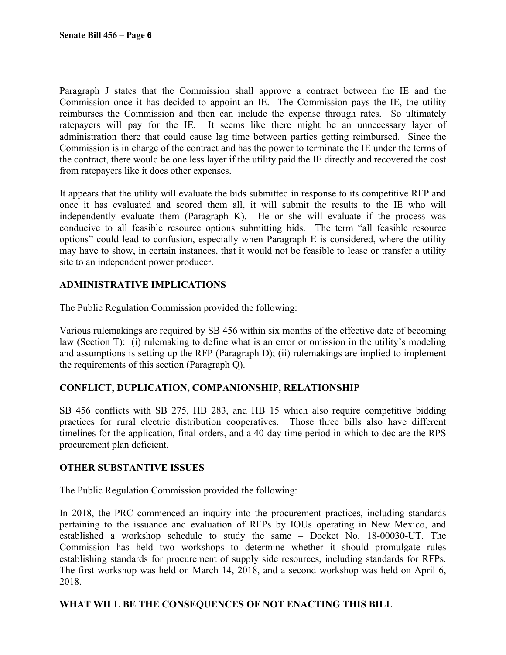Paragraph J states that the Commission shall approve a contract between the IE and the Commission once it has decided to appoint an IE. The Commission pays the IE, the utility reimburses the Commission and then can include the expense through rates. So ultimately ratepayers will pay for the IE. It seems like there might be an unnecessary layer of administration there that could cause lag time between parties getting reimbursed. Since the Commission is in charge of the contract and has the power to terminate the IE under the terms of the contract, there would be one less layer if the utility paid the IE directly and recovered the cost from ratepayers like it does other expenses.

It appears that the utility will evaluate the bids submitted in response to its competitive RFP and once it has evaluated and scored them all, it will submit the results to the IE who will independently evaluate them (Paragraph K). He or she will evaluate if the process was conducive to all feasible resource options submitting bids. The term "all feasible resource options" could lead to confusion, especially when Paragraph E is considered, where the utility may have to show, in certain instances, that it would not be feasible to lease or transfer a utility site to an independent power producer.

# **ADMINISTRATIVE IMPLICATIONS**

The Public Regulation Commission provided the following:

Various rulemakings are required by SB 456 within six months of the effective date of becoming law (Section T): (i) rulemaking to define what is an error or omission in the utility's modeling and assumptions is setting up the RFP (Paragraph D); (ii) rulemakings are implied to implement the requirements of this section (Paragraph Q).

# **CONFLICT, DUPLICATION, COMPANIONSHIP, RELATIONSHIP**

SB 456 conflicts with SB 275, HB 283, and HB 15 which also require competitive bidding practices for rural electric distribution cooperatives. Those three bills also have different timelines for the application, final orders, and a 40-day time period in which to declare the RPS procurement plan deficient.

### **OTHER SUBSTANTIVE ISSUES**

The Public Regulation Commission provided the following:

In 2018, the PRC commenced an inquiry into the procurement practices, including standards pertaining to the issuance and evaluation of RFPs by IOUs operating in New Mexico, and established a workshop schedule to study the same – Docket No. 18-00030-UT. The Commission has held two workshops to determine whether it should promulgate rules establishing standards for procurement of supply side resources, including standards for RFPs. The first workshop was held on March 14, 2018, and a second workshop was held on April 6, 2018.

### **WHAT WILL BE THE CONSEQUENCES OF NOT ENACTING THIS BILL**